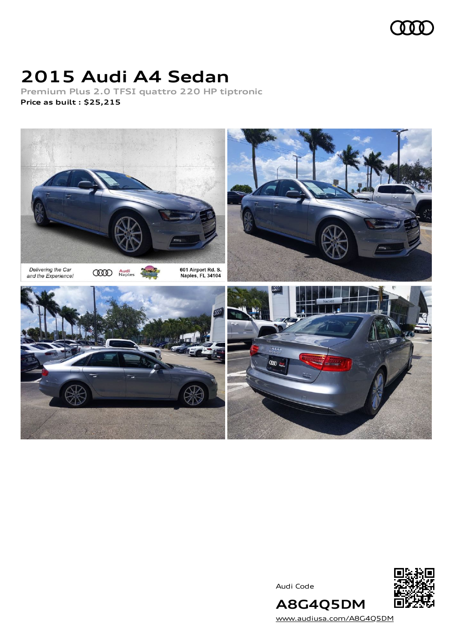

# **2015 Audi A4 Sedan**

**Premium Plus 2.0 TFSI quattro 220 HP tiptronic Price as built [:](#page-10-0) \$25,215**



Audi Code



[www.audiusa.com/A8G4Q5DM](https://www.audiusa.com/A8G4Q5DM)

**A8G4Q5DM**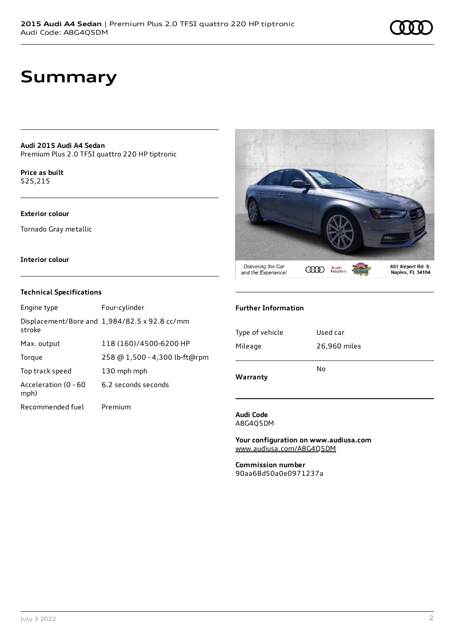## **Summary**

**Audi 2015 Audi A4 Sedan** Premium Plus 2.0 TFSI quattro 220 HP tiptronic

**Price as buil[t](#page-10-0)** \$25,215

#### **Exterior colour**

Tornado Gray metallic

#### **Interior colour**

#### **Technical Specifications**

| Engine type                  | Four-cylinder                                 |
|------------------------------|-----------------------------------------------|
| stroke                       | Displacement/Bore and 1,984/82.5 x 92.8 cc/mm |
| Max. output                  | 118 (160)/4500-6200 HP                        |
| Torque                       | 258 @ 1,500 - 4,300 lb-ft@rpm                 |
| Top track speed              | 130 mph mph                                   |
| Acceleration (0 - 60<br>mph) | 6.2 seconds seconds                           |
| Recommended fuel             | Premium                                       |



#### **Further Information**

| 26,960 miles |
|--------------|
| Used car     |
|              |

#### **Audi Code** A8G4Q5DM

**Your configuration on www.audiusa.com** [www.audiusa.com/A8G4Q5DM](https://www.audiusa.com/A8G4Q5DM)

**Commission number** 90aa68d50a0e0971237a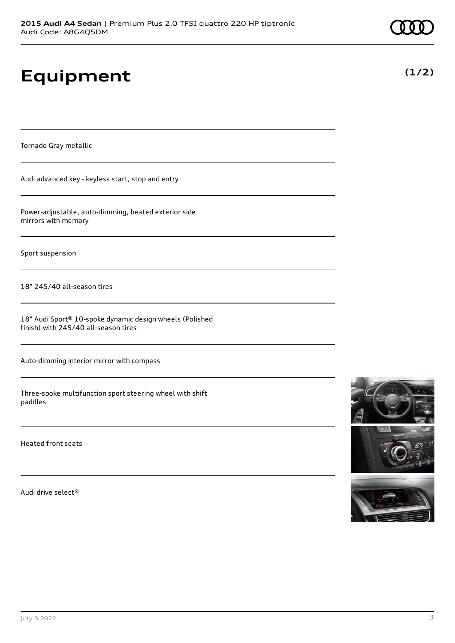# **Equipment**

Tornado Gray metallic

Audi advanced key - keyless start, stop and entry

Power-adjustable, auto-dimming, heated exterior side mirrors with memory

Sport suspension

18" 245/40 all-season tires

18" Audi Sport® 10-spoke dynamic design wheels (Polished finish) with 245/40 all-season tires

Auto-dimming interior mirror with compass

Three-spoke multifunction sport steering wheel with shift paddles

Heated front seats

Audi drive select®





**(1/2)**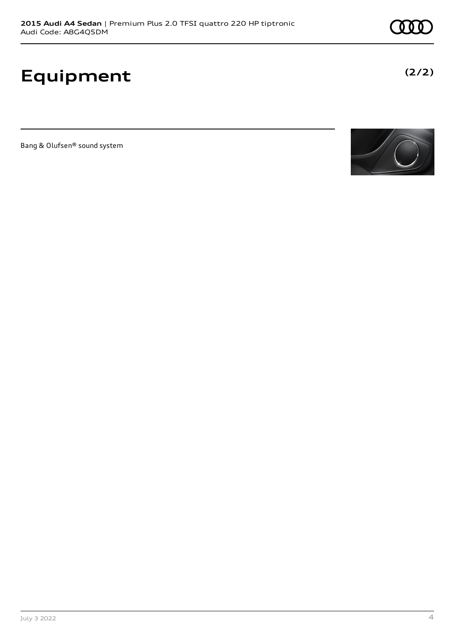# **Equipment**

Bang & Olufsen® sound system



**(2/2)**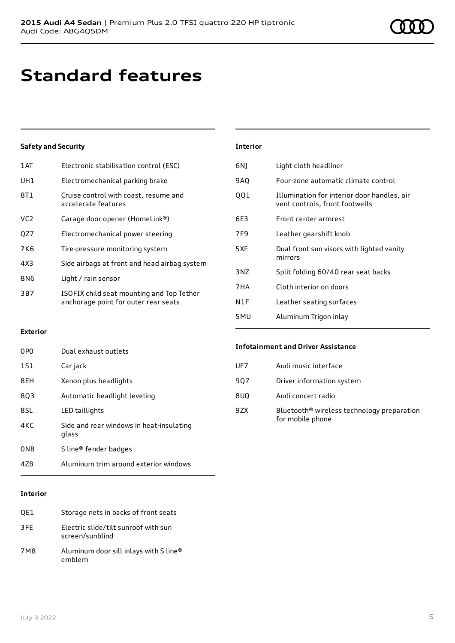# **Standard features**

### **Safety and Security**

| 1 AT            | Electronic stabilisation control (ESC)                                            |
|-----------------|-----------------------------------------------------------------------------------|
| UH1             | Electromechanical parking brake                                                   |
| 8T1             | Cruise control with coast, resume and<br>accelerate features                      |
| VC <sub>2</sub> | Garage door opener (HomeLink®)                                                    |
| QZ7             | Electromechanical power steering                                                  |
| 7K6             | Tire-pressure monitoring system                                                   |
| 4X3             | Side airbags at front and head airbag system                                      |
| 8N6             | Light / rain sensor                                                               |
| 3B7             | ISOFIX child seat mounting and Top Tether<br>anchorage point for outer rear seats |
|                 |                                                                                   |

| <b>Interior</b> |                                                                               |
|-----------------|-------------------------------------------------------------------------------|
| 6N)             | Light cloth headliner                                                         |
| 9AQ             | Four-zone automatic climate control                                           |
| 001             | Illumination for interior door handles, air<br>vent controls, front footwells |
| 6E3             | Front center armrest                                                          |
| 7F9             | Leather gearshift knob                                                        |
| 5XF             | Dual front sun visors with lighted vanity<br>mirrors                          |
| 3 N Z           | Split folding 60/40 rear seat backs                                           |
| 7HA             | Cloth interior on doors                                                       |
| N1F             | Leather seating surfaces                                                      |
| 5MU             | Aluminum Trigon inlay                                                         |

### **Exterior**

| 0PO | Dual exhaust outlets                              |
|-----|---------------------------------------------------|
| 1S1 | Car jack                                          |
| 8EH | Xenon plus headlights                             |
| 803 | Automatic headlight leveling                      |
| 8SL | LED taillights                                    |
| 4KC | Side and rear windows in heat-insulating<br>glass |
| 0NB | S line® fender badges                             |
| 47R | Aluminum trim around exterior windows             |

### **Interior**

| OE1 | Storage nets in backs of front seats                    |
|-----|---------------------------------------------------------|
| 3FF | Electric slide/tilt sunroof with sun<br>screen/sunblind |
| 7M8 | Aluminum door sill inlays with S line®<br>emblem        |

### **Infotainment and Driver Assistance**

| UF7 | Audi music interface                                                       |
|-----|----------------------------------------------------------------------------|
| 907 | Driver information system                                                  |
| 8UQ | Audi concert radio                                                         |
| 9ZX | Bluetooth <sup>®</sup> wireless technology preparation<br>for mobile phone |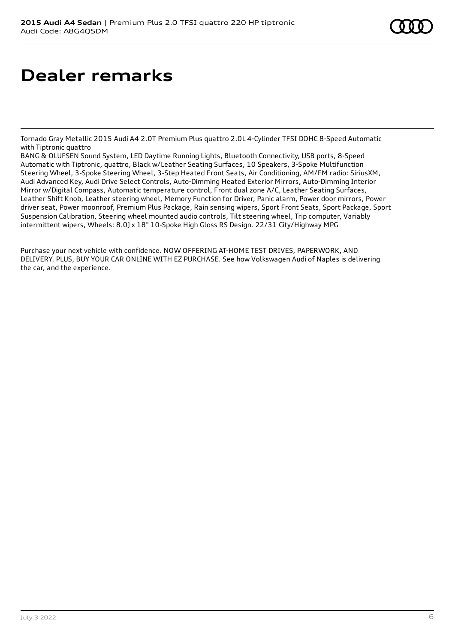# **Dealer remarks**

Tornado Gray Metallic 2015 Audi A4 2.0T Premium Plus quattro 2.0L 4-Cylinder TFSI DOHC 8-Speed Automatic with Tiptronic quattro

BANG & OLUFSEN Sound System, LED Daytime Running Lights, Bluetooth Connectivity, USB ports, 8-Speed Automatic with Tiptronic, quattro, Black w/Leather Seating Surfaces, 10 Speakers, 3-Spoke Multifunction Steering Wheel, 3-Spoke Steering Wheel, 3-Step Heated Front Seats, Air Conditioning, AM/FM radio: SiriusXM, Audi Advanced Key, Audi Drive Select Controls, Auto-Dimming Heated Exterior Mirrors, Auto-Dimming Interior Mirror w/Digital Compass, Automatic temperature control, Front dual zone A/C, Leather Seating Surfaces, Leather Shift Knob, Leather steering wheel, Memory Function for Driver, Panic alarm, Power door mirrors, Power driver seat, Power moonroof, Premium Plus Package, Rain sensing wipers, Sport Front Seats, Sport Package, Sport Suspension Calibration, Steering wheel mounted audio controls, Tilt steering wheel, Trip computer, Variably intermittent wipers, Wheels: 8.0J x 18" 10-Spoke High Gloss RS Design. 22/31 City/Highway MPG

Purchase your next vehicle with confidence. NOW OFFERING AT-HOME TEST DRIVES, PAPERWORK, AND DELIVERY. PLUS, BUY YOUR CAR ONLINE WITH EZ PURCHASE. See how Volkswagen Audi of Naples is delivering the car, and the experience.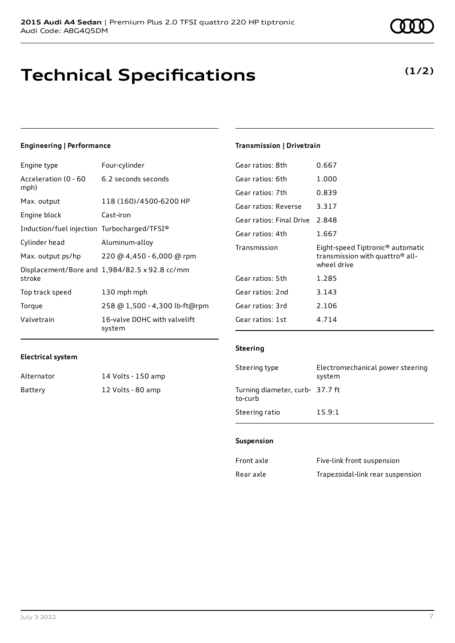# **Technical Specifications**

### **Engineering | Performance**

| Engine type                                 | Four-cylinder                                 |
|---------------------------------------------|-----------------------------------------------|
| Acceleration (0 - 60<br>mph)                | 6.2 seconds seconds                           |
| Max. output                                 | 118 (160)/4500-6200 HP                        |
| Engine block                                | Cast-iron                                     |
| Induction/fuel injection Turbocharged/TFSI® |                                               |
| Cylinder head                               | Aluminum-alloy                                |
| Max. output ps/hp                           | 220 @ 4,450 - 6,000 @ rpm                     |
| stroke                                      | Displacement/Bore and 1,984/82.5 x 92.8 cc/mm |
| Top track speed                             | 130 mph mph                                   |
| Torque                                      | 258 @ 1,500 - 4,300 lb-ft@rpm                 |
| Valvetrain                                  | 16-valve DOHC with valvelift<br>system        |

#### **Transmission | Drivetrain**

| Gear ratios: 8th         | 0.667                                                                                                      |
|--------------------------|------------------------------------------------------------------------------------------------------------|
| Gear ratios: 6th         | 1.000                                                                                                      |
| Gear ratios: 7th         | 0.839                                                                                                      |
| Gear ratios: Reverse     | 3.317                                                                                                      |
| Gear ratios: Final Drive | 2.848                                                                                                      |
| Gear ratios: 4th         | 1.667                                                                                                      |
|                          |                                                                                                            |
| Transmission             | Eight-speed Tiptronic <sup>®</sup> automatic<br>transmission with quattro <sup>®</sup> all-<br>wheel drive |
| Gear ratios: 5th         | 1.285                                                                                                      |
| Gear ratios: 2nd         | 3.143                                                                                                      |
| Gear ratios: 3rd         | 2.106                                                                                                      |
| Gear ratios: 1st         | 4.714                                                                                                      |

#### **Electrical system**

| Alternator | 14 Volts - 150 amp |
|------------|--------------------|
| Battery    | 12 Volts - 80 amp  |

#### **Steering**

| Steering type                              | Electromechanical power steering<br>system |
|--------------------------------------------|--------------------------------------------|
| Turning diameter, curb- 37.7 ft<br>to-curb |                                            |
| Steering ratio                             | 15.9:1                                     |

#### **Suspension**

| Front axle | Five-link front suspension       |
|------------|----------------------------------|
| Rear axle  | Trapezoidal-link rear suspension |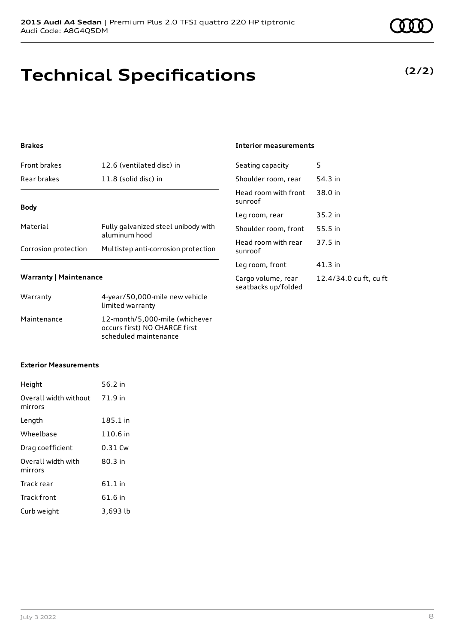# **Technical Specifications**

### **Brakes**

| <b>Front brakes</b>  | 12.6 (ventilated disc) in                            |
|----------------------|------------------------------------------------------|
| Rear brakes          | 11.8 (solid disc) in                                 |
| <b>Body</b>          |                                                      |
|                      |                                                      |
| Material             | Fully galvanized steel unibody with<br>aluminum hood |
| Corrosion protection | Multistep anti-corrosion protection                  |

#### **Warranty | Maintenance**

| Warranty    | 4-year/50,000-mile new vehicle<br>limited warranty                                       |
|-------------|------------------------------------------------------------------------------------------|
| Maintenance | 12-month/5,000-mile (whichever<br>occurs first) NO CHARGE first<br>scheduled maintenance |

#### **Interior measurements**

| Seating capacity                          | 5                      |
|-------------------------------------------|------------------------|
| Shoulder room, rear                       | 54.3 in                |
| Head room with front<br>sunroof           | 38.0 in                |
| Leg room, rear                            | 35.2 in                |
| Shoulder room, front                      | 55.5 in                |
| Head room with rear<br>sunroof            | 37.5 in                |
| Leg room, front                           | 41.3 in                |
| Cargo volume, rear<br>seatbacks up/folded | 12.4/34.0 cu ft, cu ft |

### **Exterior Measurements**

| Height                           | 56.2 in   |
|----------------------------------|-----------|
| Overall width without<br>mirrors | 71.9 in   |
| Length                           | 185.1 in  |
| Wheelbase                        | 110.6 in  |
| Drag coefficient                 | $0.31$ Cw |
| Overall width with<br>mirrors    | $80.3$ in |
| Track rear                       | 61.1 in   |
| Track front                      | 61.6 in   |
| Curb weight                      | 3,693 lb  |

### **(2/2)**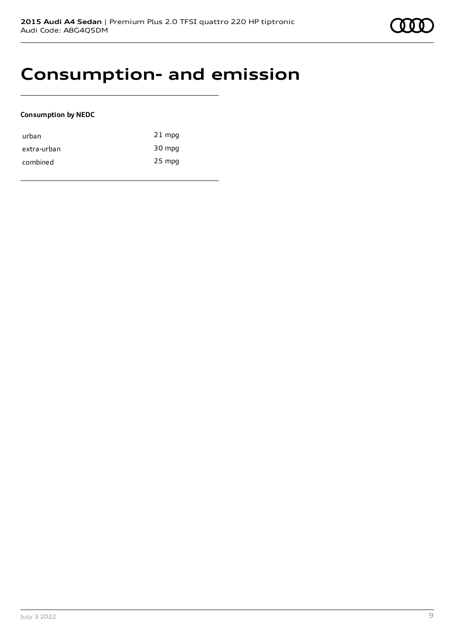### **Consumption- and emission**

### **Consumption by NEDC**

| urban       | $21$ mpg |
|-------------|----------|
| extra-urban | 30 mpg   |
| combined    | 25 mpg   |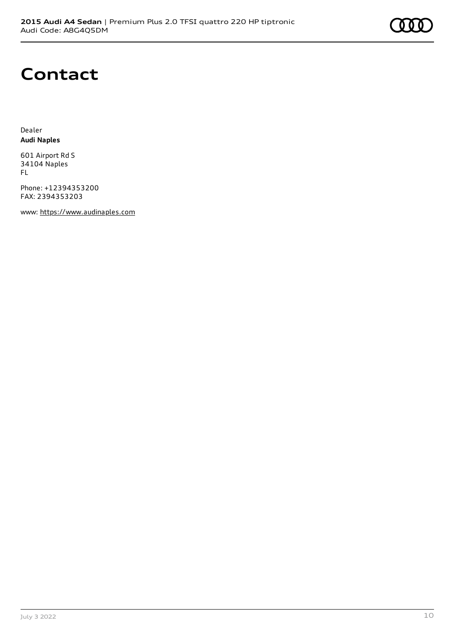### **Contact**

Dealer **Audi Naples**

601 Airport Rd S 34104 Naples FL

Phone: +12394353200 FAX: 2394353203

www: [https://www.audinaples.com](https://www.audinaples.com/)